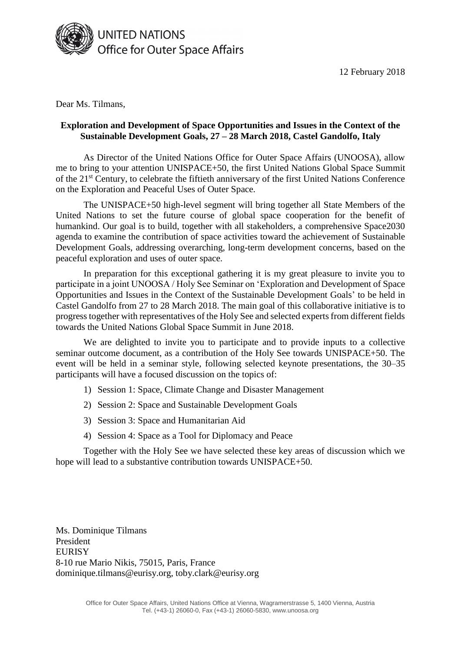

12 February 2018

Dear Ms. Tilmans,

## **Exploration and Development of Space Opportunities and Issues in the Context of the Sustainable Development Goals, 27 – 28 March 2018, Castel Gandolfo, Italy**

As Director of the United Nations Office for Outer Space Affairs (UNOOSA), allow me to bring to your attention UNISPACE+50, the first United Nations Global Space Summit of the 21st Century, to celebrate the fiftieth anniversary of the first United Nations Conference on the Exploration and Peaceful Uses of Outer Space.

The UNISPACE+50 high-level segment will bring together all State Members of the United Nations to set the future course of global space cooperation for the benefit of humankind. Our goal is to build, together with all stakeholders, a comprehensive Space2030 agenda to examine the contribution of space activities toward the achievement of Sustainable Development Goals, addressing overarching, long-term development concerns, based on the peaceful exploration and uses of outer space.

In preparation for this exceptional gathering it is my great pleasure to invite you to participate in a joint UNOOSA / Holy See Seminar on 'Exploration and Development of Space Opportunities and Issues in the Context of the Sustainable Development Goals' to be held in Castel Gandolfo from 27 to 28 March 2018. The main goal of this collaborative initiative is to progress together with representatives of the Holy See and selected experts from different fields towards the United Nations Global Space Summit in June 2018.

We are delighted to invite you to participate and to provide inputs to a collective seminar outcome document, as a contribution of the Holy See towards UNISPACE+50. The event will be held in a seminar style, following selected keynote presentations, the 30–35 participants will have a focused discussion on the topics of:

- 1) Session 1: Space, Climate Change and Disaster Management
- 2) Session 2: Space and Sustainable Development Goals
- 3) Session 3: Space and Humanitarian Aid
- 4) Session 4: Space as a Tool for Diplomacy and Peace

Together with the Holy See we have selected these key areas of discussion which we hope will lead to a substantive contribution towards UNISPACE+50.

Ms. Dominique Tilmans President **EURISY** 8-10 rue Mario Nikis, 75015, Paris, France dominique.tilmans@eurisy.org, toby.clark@eurisy.org